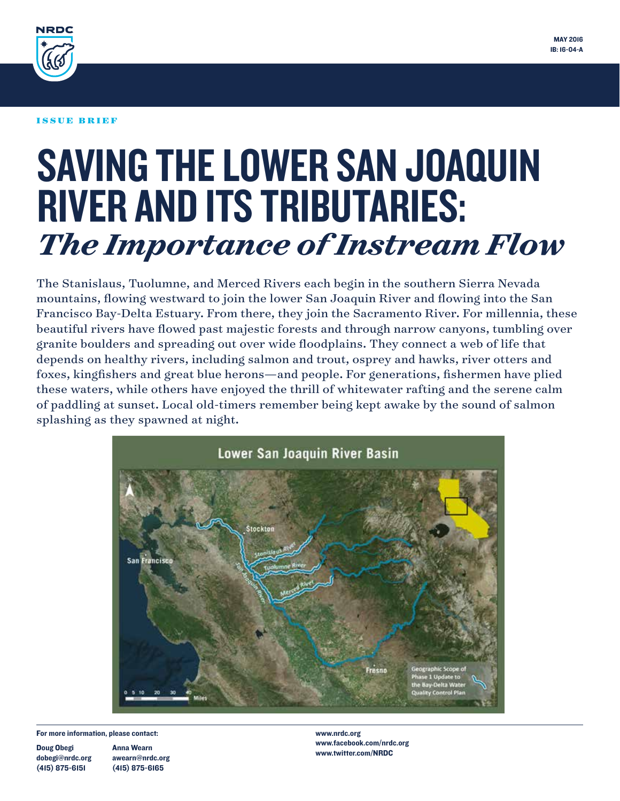

#### ISSUE BRIEF

# SAVING THE LOWER SAN JOAQUIN RIVER AND ITS TRIBUTARIES: *The Importance of Instream Flow*

The Stanislaus, Tuolumne, and Merced Rivers each begin in the southern Sierra Nevada mountains, flowing westward to join the lower San Joaquin River and flowing into the San Francisco Bay-Delta Estuary. From there, they join the Sacramento River. For millennia, these beautiful rivers have flowed past majestic forests and through narrow canyons, tumbling over granite boulders and spreading out over wide floodplains. They connect a web of life that depends on healthy rivers, including salmon and trout, osprey and hawks, river otters and foxes, kingfishers and great blue herons—and people. For generations, fishermen have plied these waters, while others have enjoyed the thrill of whitewater rafting and the serene calm of paddling at sunset. Local old-timers remember being kept awake by the sound of salmon splashing as they spawned at night.



For more information, please contact:

Doug Obegi dobegi@nrdc.org (415) 875-6151

Anna Wearn awearn@nrdc.org (415) 875-6165

www.nrdc.org www.facebook.com/nrdc.org www.twitter.com/NRDC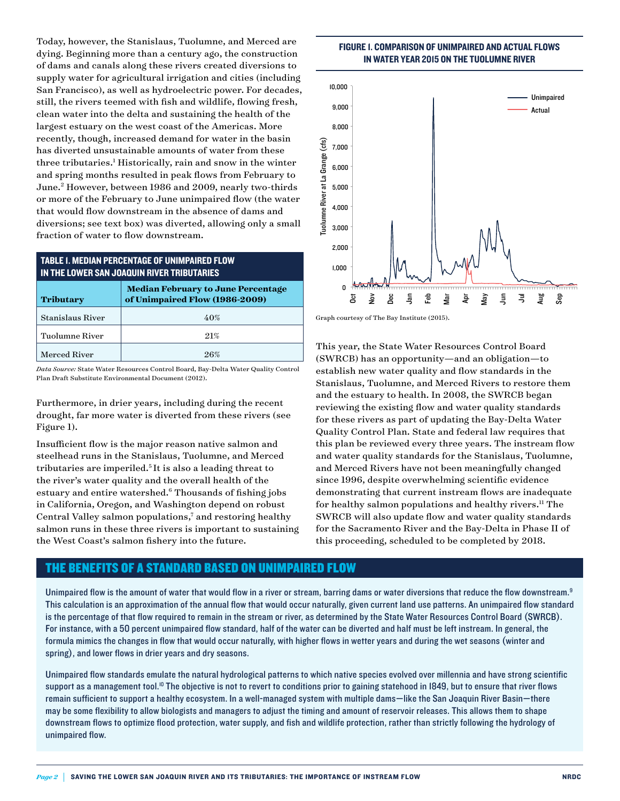Today, however, the Stanislaus, Tuolumne, and Merced are dying. Beginning more than a century ago, the construction of dams and canals along these rivers created diversions to supply water for agricultural irrigation and cities (including San Francisco), as well as hydroelectric power. For decades, still, the rivers teemed with fish and wildlife, flowing fresh, clean water into the delta and sustaining the health of the largest estuary on the west coast of the Americas. More recently, though, increased demand for water in the basin has diverted unsustainable amounts of water from these three tributaries.<sup>1</sup> Historically, rain and snow in the winter and spring months resulted in peak flows from February to June.<sup>2</sup> However, between 1986 and 2009, nearly two-thirds or more of the February to June unimpaired flow (the water that would flow downstream in the absence of dams and diversions; see text box) was diverted, allowing only a small fraction of water to flow downstream.

## TABLE 1. MEDIAN PERCENTAGE OF UNIMPAIRED FLOW IN THE LOWER SAN JOAQUIN RIVER TRIBUTARIES

| <b>Tributary</b>        | <b>Median February to June Percentage</b><br>of Unimpaired Flow (1986-2009) |  |
|-------------------------|-----------------------------------------------------------------------------|--|
| <b>Stanislaus River</b> | 40%                                                                         |  |
| Tuolumne River          | 21%                                                                         |  |
| Merced River            | 96%                                                                         |  |

*Data Source:* State Water Resources Control Board, Bay-Delta Water Quality Control Plan Draft Substitute Environmental Document (2012).

Furthermore, in drier years, including during the recent drought, far more water is diverted from these rivers (see Figure 1).

Insufficient flow is the major reason native salmon and steelhead runs in the Stanislaus, Tuolumne, and Merced tributaries are imperiled.<sup>5</sup> It is also a leading threat to the river's water quality and the overall health of the estuary and entire watershed.<sup>6</sup> Thousands of fishing jobs in California, Oregon, and Washington depend on robust Central Valley salmon populations,<sup>7</sup> and restoring healthy salmon runs in these three rivers is important to sustaining the West Coast's salmon fishery into the future.

## FIGURE 1. COMPARISON OF UNIMPAIRED AND ACTUAL FLOWS IN WATER YEAR 2015 ON THE TUOLUMNE RIVER



Graph courtesy of The Bay Institute (2015).

This year, the State Water Resources Control Board (SWRCB) has an opportunity—and an obligation—to establish new water quality and flow standards in the Stanislaus, Tuolumne, and Merced Rivers to restore them and the estuary to health. In 2008, the SWRCB began reviewing the existing flow and water quality standards for these rivers as part of updating the Bay-Delta Water Quality Control Plan. State and federal law requires that this plan be reviewed every three years. The instream flow and water quality standards for the Stanislaus, Tuolumne, and Merced Rivers have not been meaningfully changed since 1996, despite overwhelming scientific evidence demonstrating that current instream flows are inadequate for healthy salmon populations and healthy rivers.<sup>11</sup> The SWRCB will also update flow and water quality standards for the Sacramento River and the Bay-Delta in Phase II of this proceeding, scheduled to be completed by 2018.

## THE BENEFITS OF A STANDARD BASED ON UNIMPAIRED FLOW

Unimpaired flow is the amount of water that would flow in a river or stream, barring dams or water diversions that reduce the flow downstream.<sup>9</sup> This calculation is an approximation of the annual flow that would occur naturally, given current land use patterns. An unimpaired flow standard is the percentage of that flow required to remain in the stream or river, as determined by the State Water Resources Control Board (SWRCB). For instance, with a 50 percent unimpaired flow standard, half of the water can be diverted and half must be left instream. In general, the formula mimics the changes in flow that would occur naturally, with higher flows in wetter years and during the wet seasons (winter and spring), and lower flows in drier years and dry seasons.

Unimpaired flow standards emulate the natural hydrological patterns to which native species evolved over millennia and have strong scientific support as a management tool.<sup>10</sup> The objective is not to revert to conditions prior to gaining statehood in 1849, but to ensure that river flows remain sufficient to support a healthy ecosystem. In a well-managed system with multiple dams—like the San Joaquin River Basin—there may be some flexibility to allow biologists and managers to adjust the timing and amount of reservoir releases. This allows them to shape downstream flows to optimize flood protection, water supply, and fish and wildlife protection, rather than strictly following the hydrology of unimpaired flow.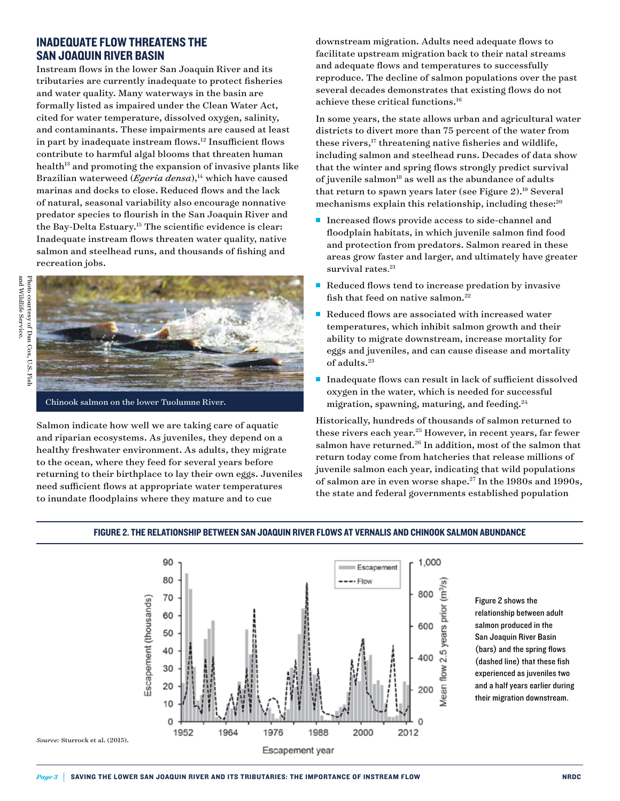## INADEQUATE FLOW THREATENS THE SAN JOAQUIN RIVER BASIN

Instream flows in the lower San Joaquin River and its tributaries are currently inadequate to protect fisheries and water quality. Many waterways in the basin are formally listed as impaired under the Clean Water Act, cited for water temperature, dissolved oxygen, salinity, and contaminants. These impairments are caused at least in part by inadequate instream flows.12 Insufficient flows contribute to harmful algal blooms that threaten human health<sup>13</sup> and promoting the expansion of invasive plants like Brazilian waterweed (*Egeria densa*),<sup>14</sup> which have caused marinas and docks to close. Reduced flows and the lack of natural, seasonal variability also encourage nonnative predator species to flourish in the San Joaquin River and the Bay-Delta Estuary.15 The scientific evidence is clear: Inadequate instream flows threaten water quality, native salmon and steelhead runs, and thousands of fishing and recreation jobs.



Chinook salmon on the lower Tuolumne River.

Salmon indicate how well we are taking care of aquatic and riparian ecosystems. As juveniles, they depend on a healthy freshwater environment. As adults, they migrate to the ocean, where they feed for several years before returning to their birthplace to lay their own eggs. Juveniles need sufficient flows at appropriate water temperatures to inundate floodplains where they mature and to cue

downstream migration. Adults need adequate flows to facilitate upstream migration back to their natal streams and adequate flows and temperatures to successfully reproduce. The decline of salmon populations over the past several decades demonstrates that existing flows do not achieve these critical functions.16

In some years, the state allows urban and agricultural water districts to divert more than 75 percent of the water from these rivers,<sup>17</sup> threatening native fisheries and wildlife, including salmon and steelhead runs. Decades of data show that the winter and spring flows strongly predict survival of juvenile salmon $^{18}$  as well as the abundance of adults that return to spawn years later (see Figure  $2$ ).<sup>19</sup> Several mechanisms explain this relationship, including these:<sup>20</sup>

- Increased flows provide access to side-channel and floodplain habitats, in which juvenile salmon find food and protection from predators. Salmon reared in these areas grow faster and larger, and ultimately have greater survival rates. 21
- Reduced flows tend to increase predation by invasive fish that feed on native salmon.<sup>22</sup>
- $\blacksquare$  Reduced flows are associated with increased water temperatures, which inhibit salmon growth and their ability to migrate downstream, increase mortality for eggs and juveniles, and can cause disease and mortality of adults.<sup>23</sup>
- $\blacksquare$  Inadequate flows can result in lack of sufficient dissolved oxygen in the water, which is needed for successful migration, spawning, maturing, and feeding.<sup>24</sup>

Historically, hundreds of thousands of salmon returned to these rivers each year.25 However, in recent years, far fewer salmon have returned. $26$  In addition, most of the salmon that return today come from hatcheries that release millions of juvenile salmon each year, indicating that wild populations of salmon are in even worse shape.27 In the 1980s and 1990s, the state and federal governments established population



## FIGURE 2. THE RELATIONSHIP BETWEEN SAN JOAQUIN RIVER FLOWS AT VERNALIS AND CHINOOK SALMON ABUNDANCE

Figure 2 shows the relationship between adult salmon produced in the San Joaquin River Basin (bars) and the spring flows (dashed line) that these fish experienced as juveniles two and a half years earlier during their migration downstream.

*Source:* Sturrock et al. (2015).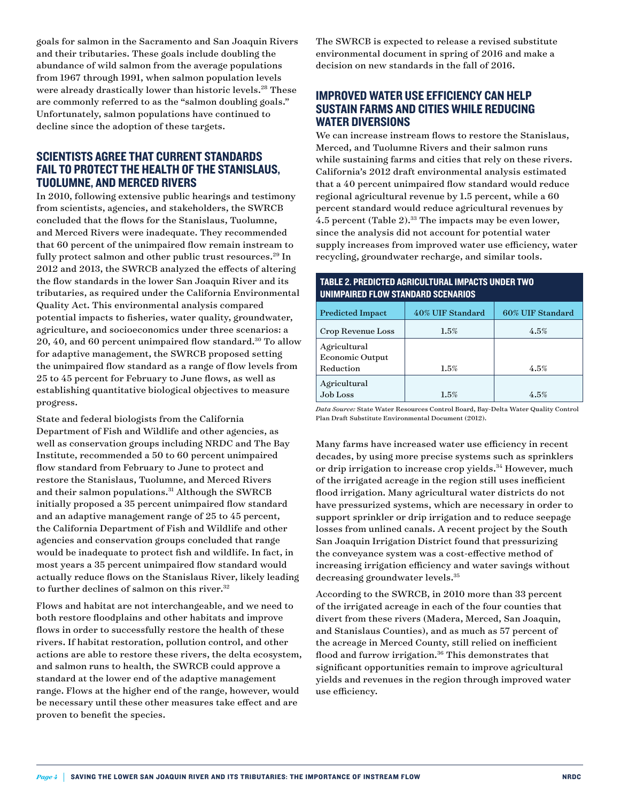goals for salmon in the Sacramento and San Joaquin Rivers and their tributaries. These goals include doubling the abundance of wild salmon from the average populations from 1967 through 1991, when salmon population levels were already drastically lower than historic levels.<sup>28</sup> These are commonly referred to as the "salmon doubling goals." Unfortunately, salmon populations have continued to decline since the adoption of these targets.

## SCIENTISTS AGREE THAT CURRENT STANDARDS FAIL TO PROTECT THE HEALTH OF THE STANISLAUS, TUOLUMNE, AND MERCED RIVERS

In 2010, following extensive public hearings and testimony from scientists, agencies, and stakeholders, the SWRCB concluded that the flows for the Stanislaus, Tuolumne, and Merced Rivers were inadequate. They recommended that 60 percent of the unimpaired flow remain instream to fully protect salmon and other public trust resources.<sup>29</sup> In 2012 and 2013, the SWRCB analyzed the effects of altering the flow standards in the lower San Joaquin River and its tributaries, as required under the California Environmental Quality Act. This environmental analysis compared potential impacts to fisheries, water quality, groundwater, agriculture, and socioeconomics under three scenarios: a 20, 40, and 60 percent unimpaired flow standard.<sup>30</sup> To allow for adaptive management, the SWRCB proposed setting the unimpaired flow standard as a range of flow levels from 25 to 45 percent for February to June flows, as well as establishing quantitative biological objectives to measure progress.

State and federal biologists from the California Department of Fish and Wildlife and other agencies, as well as conservation groups including NRDC and The Bay Institute, recommended a 50 to 60 percent unimpaired flow standard from February to June to protect and restore the Stanislaus, Tuolumne, and Merced Rivers and their salmon populations.<sup>31</sup> Although the SWRCB initially proposed a 35 percent unimpaired flow standard and an adaptive management range of 25 to 45 percent, the California Department of Fish and Wildlife and other agencies and conservation groups concluded that range would be inadequate to protect fish and wildlife. In fact, in most years a 35 percent unimpaired flow standard would actually reduce flows on the Stanislaus River, likely leading to further declines of salmon on this river.<sup>32</sup>

Flows and habitat are not interchangeable, and we need to both restore floodplains and other habitats and improve flows in order to successfully restore the health of these rivers. If habitat restoration, pollution control, and other actions are able to restore these rivers, the delta ecosystem, and salmon runs to health, the SWRCB could approve a standard at the lower end of the adaptive management range. Flows at the higher end of the range, however, would be necessary until these other measures take effect and are proven to benefit the species.

The SWRCB is expected to release a revised substitute environmental document in spring of 2016 and make a decision on new standards in the fall of 2016.

# IMPROVED WATER USE EFFICIENCY CAN HELP SUSTAIN FARMS AND CITIES WHILE REDUCING WATER DIVERSIONS

We can increase instream flows to restore the Stanislaus, Merced, and Tuolumne Rivers and their salmon runs while sustaining farms and cities that rely on these rivers. California's 2012 draft environmental analysis estimated that a 40 percent unimpaired flow standard would reduce regional agricultural revenue by 1.5 percent, while a 60 percent standard would reduce agricultural revenues by 4.5 percent (Table 2).<sup>33</sup> The impacts may be even lower, since the analysis did not account for potential water supply increases from improved water use efficiency, water recycling, groundwater recharge, and similar tools.

## TABLE 2. PREDICTED AGRICULTURAL IMPACTS UNDER TWO UNIMPAIRED FLOW STANDARD SCENARIOS

| <b>Predicted Impact</b>                             | 40% UIF Standard | 60% UIF Standard |
|-----------------------------------------------------|------------------|------------------|
| Crop Revenue Loss                                   | 1.5%             | 4.5%             |
| Agricultural<br><b>Economic Output</b><br>Reduction | 1.5%             | 4.5%             |
| Agricultural<br>Job Loss                            | 1.5%             | 4.5%             |

*Data Source:* State Water Resources Control Board, Bay-Delta Water Quality Control Plan Draft Substitute Environmental Document (2012).

Many farms have increased water use efficiency in recent decades, by using more precise systems such as sprinklers or drip irrigation to increase crop yields.<sup>34</sup> However, much of the irrigated acreage in the region still uses inefficient flood irrigation. Many agricultural water districts do not have pressurized systems, which are necessary in order to support sprinkler or drip irrigation and to reduce seepage losses from unlined canals. A recent project by the South San Joaquin Irrigation District found that pressurizing the conveyance system was a cost-effective method of increasing irrigation efficiency and water savings without decreasing groundwater levels.<sup>35</sup>

According to the SWRCB, in 2010 more than 33 percent of the irrigated acreage in each of the four counties that divert from these rivers (Madera, Merced, San Joaquin, and Stanislaus Counties), and as much as 57 percent of the acreage in Merced County, still relied on inefficient flood and furrow irrigation.<sup>36</sup> This demonstrates that significant opportunities remain to improve agricultural yields and revenues in the region through improved water use efficiency.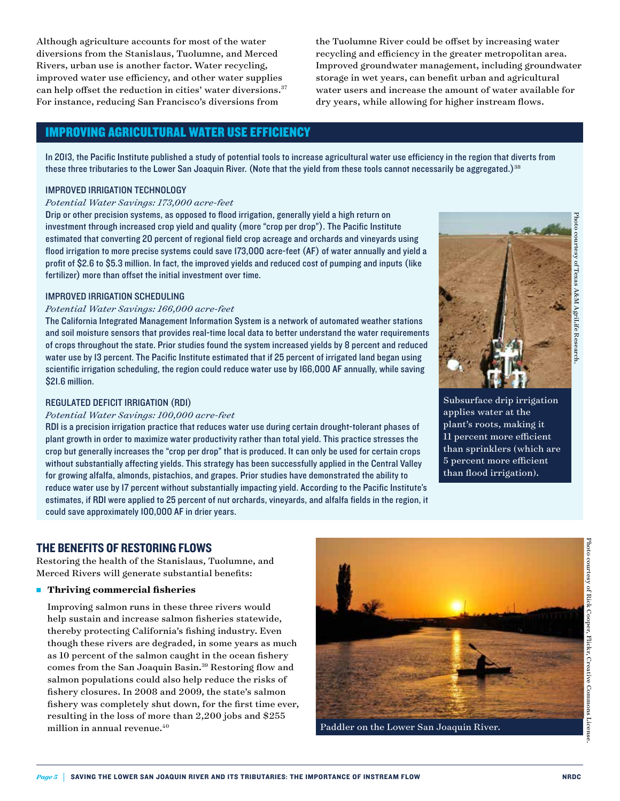Although agriculture accounts for most of the water diversions from the Stanislaus, Tuolumne, and Merced Rivers, urban use is another factor. Water recycling, improved water use efficiency, and other water supplies can help offset the reduction in cities' water diversions.<sup>37</sup> For instance, reducing San Francisco's diversions from

the Tuolumne River could be offset by increasing water recycling and efficiency in the greater metropolitan area. Improved groundwater management, including groundwater storage in wet years, can benefit urban and agricultural water users and increase the amount of water available for dry years, while allowing for higher instream flows.

## IMPROVING AGRICULTURAL WATER USE EFFICIENCY

In 2013, the Pacific Institute published a study of potential tools to increase agricultural water use efficiency in the region that diverts from these three tributaries to the Lower San Joaquin River. (Note that the yield from these tools cannot necessarily be aggregated.)<sup>38</sup>

#### IMPROVED IRRIGATION TECHNOLOGY

#### *Potential Water Savings: 173,000 acre-feet*

Drip or other precision systems, as opposed to flood irrigation, generally yield a high return on investment through increased crop yield and quality (more "crop per drop"). The Pacific Institute estimated that converting 20 percent of regional field crop acreage and orchards and vineyards using flood irrigation to more precise systems could save 173,000 acre-feet (AF) of water annually and yield a profit of \$2.6 to \$5.3 million. In fact, the improved yields and reduced cost of pumping and inputs (like fertilizer) more than offset the initial investment over time.

#### IMPROVED IRRIGATION SCHEDULING

#### *Potential Water Savings: 166,000 acre-feet*

The California Integrated Management Information System is a network of automated weather stations and soil moisture sensors that provides real-time local data to better understand the water requirements of crops throughout the state. Prior studies found the system increased yields by 8 percent and reduced water use by 13 percent. The Pacific Institute estimated that if 25 percent of irrigated land began using scientific irrigation scheduling, the region could reduce water use by 166,000 AF annually, while saving \$21.6 million.

#### REGULATED DEFICIT IRRIGATION (RDI)

#### *Potential Water Savings: 100,000 acre-feet*

RDI is a precision irrigation practice that reduces water use during certain drought-tolerant phases of plant growth in order to maximize water productivity rather than total yield. This practice stresses the crop but generally increases the "crop per drop" that is produced. It can only be used for certain crops without substantially affecting yields. This strategy has been successfully applied in the Central Valley for growing alfalfa, almonds, pistachios, and grapes. Prior studies have demonstrated the ability to reduce water use by 17 percent without substantially impacting yield. According to the Pacific Institute's estimates, if RDI were applied to 25 percent of nut orchards, vineyards, and alfalfa fields in the region, it could save approximately 100,000 AF in drier years.



Subsurface drip irrigation applies water at the plant's roots, making it 11 percent more efficient than sprinklers (which are 5 percent more efficient than flood irrigation).

## THE BENEFITS OF RESTORING FLOWS

Restoring the health of the Stanislaus, Tuolumne, and Merced Rivers will generate substantial benefits:

#### **n** Thriving commercial fisheries

 Improving salmon runs in these three rivers would help sustain and increase salmon fisheries statewide, thereby protecting California's fishing industry. Even though these rivers are degraded, in some years as much as 10 percent of the salmon caught in the ocean fishery comes from the San Joaquin Basin.39 Restoring flow and salmon populations could also help reduce the risks of fishery closures. In 2008 and 2009, the state's salmon fishery was completely shut down, for the first time ever, resulting in the loss of more than 2,200 jobs and \$255 million in annual revenue.<sup>40</sup>



Paddler on the Lower San Joaquin River.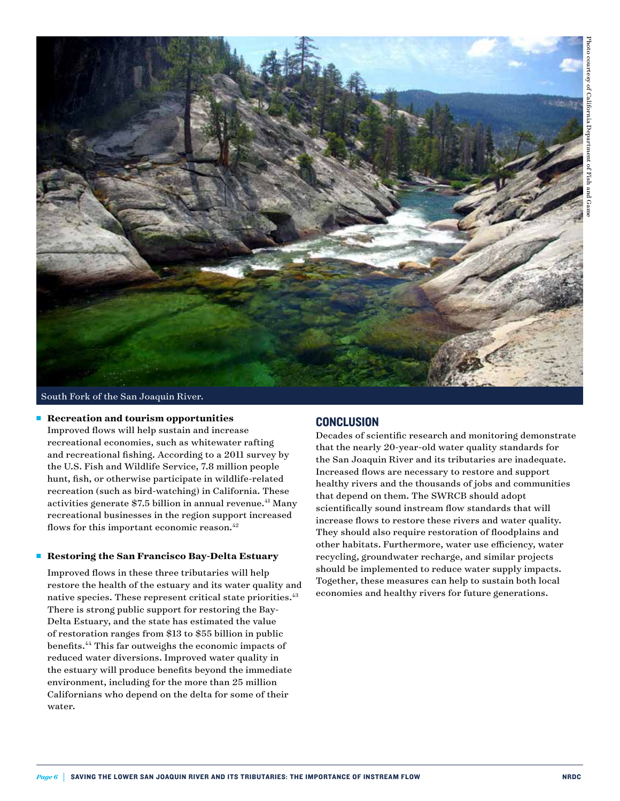

South Fork of the San Joaquin River.

#### ■ Recreation and tourism opportunities

Improved flows will help sustain and increase recreational economies, such as whitewater rafting and recreational fishing. According to a 2011 survey by the U.S. Fish and Wildlife Service, 7.8 million people hunt, fish, or otherwise participate in wildlife-related recreation (such as bird-watching) in California. These activities generate \$7.5 billion in annual revenue.<sup>41</sup> Many recreational businesses in the region support increased flows for this important economic reason.<sup>42</sup>

#### <sup>n</sup> **Restoring the San Francisco Bay-Delta Estuary**

 Improved flows in these three tributaries will help restore the health of the estuary and its water quality and native species. These represent critical state priorities.<sup>43</sup> There is strong public support for restoring the Bay-Delta Estuary, and the state has estimated the value of restoration ranges from \$13 to \$55 billion in public benefits.44 This far outweighs the economic impacts of reduced water diversions. Improved water quality in the estuary will produce benefits beyond the immediate environment, including for the more than 25 million Californians who depend on the delta for some of their water.

#### **CONCLUSION**

Decades of scientific research and monitoring demonstrate that the nearly 20-year-old water quality standards for the San Joaquin River and its tributaries are inadequate. Increased flows are necessary to restore and support healthy rivers and the thousands of jobs and communities that depend on them. The SWRCB should adopt scientifically sound instream flow standards that will increase flows to restore these rivers and water quality. They should also require restoration of floodplains and other habitats. Furthermore, water use efficiency, water recycling, groundwater recharge, and similar projects should be implemented to reduce water supply impacts. Together, these measures can help to sustain both local economies and healthy rivers for future generations.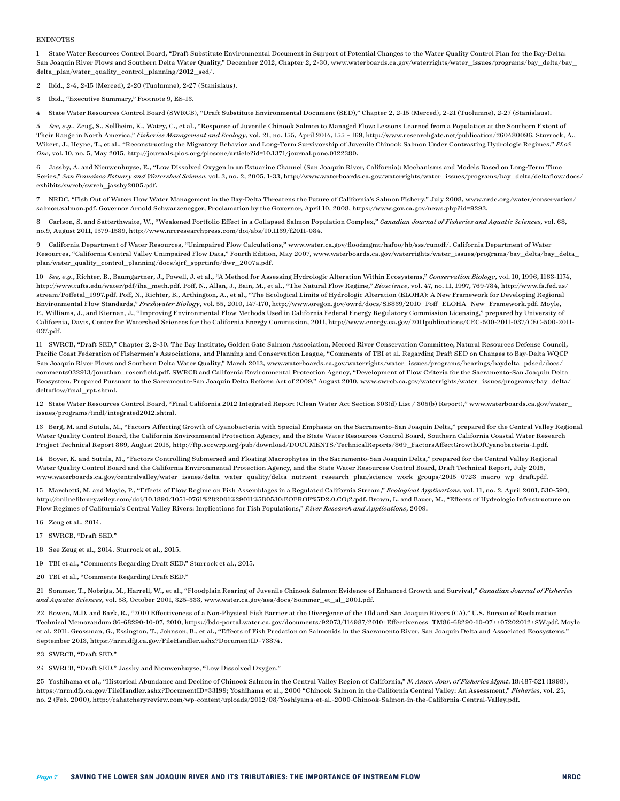#### ENDNOTES

1 State Water Resources Control Board, "Draft Substitute Environmental Document in Support of Potential Changes to the Water Quality Control Plan for the Bay-Delta: San Joaquin River Flows and Southern Delta Water Quality," December 2012, Chapter 2, 2-30, [www.waterboards.ca.gov/waterrights/water\\_issues/programs/bay\\_delta/bay\\_](http://www.waterboards.ca.gov/waterrights/water_issues/programs/bay_delta/bay_delta_plan/water_quality_control_planning/2012_sed/) [delta\\_plan/water\\_quality\\_control\\_planning/2012\\_sed/.](http://www.waterboards.ca.gov/waterrights/water_issues/programs/bay_delta/bay_delta_plan/water_quality_control_planning/2012_sed/)

2 Ibid., 2-4, 2-15 (Merced), 2-20 (Tuolumne), 2-27 (Stanislaus).

3 Ibid., "Executive Summary," Footnote 9, ES-13.

4 State Water Resources Control Board (SWRCB), "Draft Substitute Environmental Document (SED)," Chapter 2, 2-15 (Merced), 2-21 (Tuolumne), 2-27 (Stanislaus).

5 *See, e.g.*, Zeug, S., Sellheim, K., Watry, C., et al., "Response of Juvenile Chinook Salmon to Managed Flow: Lessons Learned from a Population at the Southern Extent of Their Range in North America," *Fisheries Management and Ecology*, vol. 21, no. 155, April 2014, 155 – 169, http://www.researchgate.net/publication/260480096. Sturrock, A., Wikert, J., Heyne, T., et al., "Reconstructing the Migratory Behavior and Long-Term Survivorship of Juvenile Chinook Salmon Under Contrasting Hydrologic Regimes," *PLoS One*, vol. 10, no. 5, May 2015, http://journals.plos.org/plosone/article?id=10.1371/journal.pone.0122380.

6 Jassby, A. and Nieuwenhuyse, E., "Low Dissolved Oxygen in an Estuarine Channel (San Joaquin River, California): Mechanisms and Models Based on Long-Term Time Series," *San Francisco Estuary and Watershed Science*, vol. 3, no. 2, 2005, 1-33, [http://www.waterboards.ca.gov/waterrights/water\\_issues/programs/bay\\_delta/deltaflow/docs/](http://www.waterboards.ca.gov/waterrights/water_issues/programs/bay_delta/deltaflow/docs/exhibits/swrcb/swrcb_jassby2005.pdf) [exhibits/swrcb/swrcb\\_jassby2005.pdf](http://www.waterboards.ca.gov/waterrights/water_issues/programs/bay_delta/deltaflow/docs/exhibits/swrcb/swrcb_jassby2005.pdf).

7 NRDC, "Fish Out of Water: How Water Management in the Bay-Delta Threatens the Future of California's Salmon Fishery," July 2008, www.nrdc.org/water/conservation/ salmon/salmon.pdf. Governor Arnold Schwarzenegger, Proclamation by the Governor, April 10, 2008, https://www.gov.ca.gov/news.php?id=9293.

8 Carlson, S. and Satterthwaite, W., "Weakened Portfolio Effect in a Collapsed Salmon Population Complex," *Canadian Journal of Fisheries and Aquatic Sciences*, vol. 68, no.9, August 2011, 1579-1589, http://www.nrcresearchpress.com/doi/abs/10.1139/f2011-084.

9 California Department of Water Resources, "Unimpaired Flow Calculations," [www.water.ca.gov/floodmgmt/hafoo/hb/sss/runoff/.](http://www.water.ca.gov/floodmgmt/hafoo/hb/sss/runoff/) California Department of Water Resources, "California Central Valley Unimpaired Flow Data," Fourth Edition, May 2007, [www.waterboards.ca.gov/waterrights/water\\_issues/programs/bay\\_delta/bay\\_delta\\_](http://www.waterboards.ca.gov/waterrights/water_issues/programs/bay_delta/bay_delta_plan/water_quality_control_planning/docs/sjrf_spprtinfo/dwr_2007a.pdf) [plan/water\\_quality\\_control\\_planning/docs/sjrf\\_spprtinfo/dwr\\_2007a.pdf.](http://www.waterboards.ca.gov/waterrights/water_issues/programs/bay_delta/bay_delta_plan/water_quality_control_planning/docs/sjrf_spprtinfo/dwr_2007a.pdf)

10 *See, e.g.*, Richter, B., Baumgartner, J., Powell, J. et al., "A Method for Assessing Hydrologic Alteration Within Ecosystems," *Conservation Biology*, vol. 10, 1996, 1163-1174, [http://www.tufts.edu/water/pdf/iha\\_meth.pdf](http://www.tufts.edu/water/pdf/iha_meth.pdf). Poff, N., Allan, J., Bain, M., et al., "The Natural Flow Regime," *Bioscience*, vol. 47, no. 11, 1997, 769-784, [http://www.fs.fed.us/](http://www.fs.fed.us/stream/Poffetal_1997.pdf) [stream/Poffetal\\_1997.pdf](http://www.fs.fed.us/stream/Poffetal_1997.pdf). Poff, N., Richter, B., Arthington, A., et al., "The Ecological Limits of Hydrologic Alteration (ELOHA): A New Framework for Developing Regional Environmental Flow Standards," *Freshwater Biology*, vol. 55, 2010, 147-170, [http://www.oregon.gov/owrd/docs/SB839/2010\\_Poff\\_ELOHA\\_New\\_Framework.pdf](http://www.oregon.gov/owrd/docs/SB839/2010_Poff_ELOHA_New_Framework.pdf). Moyle, P., Williams, J., and Kiernan, J., "Improving Environmental Flow Methods Used in California Federal Energy Regulatory Commission Licensing," prepared by University of California, Davis, Center for Watershed Sciences for the California Energy Commission, 2011, [http://www.energy.ca.gov/2011publications/CEC-500-2011-037/CEC-500-2011-](http://www.energy.ca.gov/2011publications/CEC-500-2011-037/CEC-500-2011-037.pdf) [037.pdf.](http://www.energy.ca.gov/2011publications/CEC-500-2011-037/CEC-500-2011-037.pdf)

11 SWRCB, "Draft SED," Chapter 2, 2-30. The Bay Institute, Golden Gate Salmon Association, Merced River Conservation Committee, Natural Resources Defense Council, Pacific Coast Federation of Fishermen's Associations, and Planning and Conservation League, "Comments of TBI et al. Regarding Draft SED on Changes to Bay-Delta WQCP San Joaquin River Flows and Southern Delta Water Quality," March 2013, www.waterboards.ca.gov/waterrights/water\_issues/programs/hearings/baydelta\_pdsed/docs/ comments032913/jonathan\_rosenfield.pdf. SWRCB and California Environmental Protection Agency, "Development of Flow Criteria for the Sacramento-San Joaquin Delta Ecosystem, Prepared Pursuant to the Sacramento-San Joaquin Delta Reform Act of 2009," August 2010, www.swrcb.ca.gov/waterrights/water\_issues/programs/bay\_delta/ deltaflow/final\_rpt.shtml.

12 State Water Resources Control Board, "Final California 2012 Integrated Report (Clean Water Act Section 303(d) List / 305(b) Report)," [www.waterboards.ca.gov/water\\_](http://www.waterboards.ca.gov/water_issues/programs/tmdl/integrated2012.shtml) [issues/programs/tmdl/integrated2012.shtml](http://www.waterboards.ca.gov/water_issues/programs/tmdl/integrated2012.shtml).

13 Berg, M. and Sutula, M., "Factors Affecting Growth of Cyanobacteria with Special Emphasis on the Sacramento-San Joaquin Delta," prepared for the Central Valley Regional Water Quality Control Board, the California Environmental Protection Agency, and the State Water Resources Control Board, Southern California Coastal Water Research Project Technical Report 869, August 2015, http://ftp.sccwrp.org/pub/download/DOCUMENTS/TechnicalReports/869\_FactorsAffectGrowthOfCyanobacteria-1.pdf.

14 Boyer, K. and Sutula, M., "Factors Controlling Submersed and Floating Macrophytes in the Sacramento-San Joaquin Delta," prepared for the Central Valley Regional Water Quality Control Board and the California Environmental Protection Agency, and the State Water Resources Control Board, Draft Technical Report, July 2015, [www.waterboards.ca.gov/centralvalley/water\\_issues/delta\\_water\\_quality/delta\\_nutrient\\_research\\_plan/science\\_work\\_groups/2015\\_0723\\_macro\\_wp\\_draft.pdf.](http://www.waterboards.ca.gov/centralvalley/water_issues/delta_water_quality/delta_nutrient_research_plan/science_work_groups/2015_0723_macro_wp_draft.pdf)

15 Marchetti, M. and Moyle, P., "Effects of Flow Regime on Fish Assemblages in a Regulated California Stream," *Ecological Applications*, vol. 11, no. 2, April 2001, 530-590, http://onlinelibrary.wiley.com/doi/10.1890/1051-0761%282001%29011%5B0530:EOFROF%5D2.0.CO;2/pdf. Brown, L. and Bauer, M., "Effects of Hydrologic Infrastructure on Flow Regimes of California's Central Valley Rivers: Implications for Fish Populations," *River Research and Applications*, 2009.

- 16 Zeug et al., 2014.
- 17 SWRCB, "Draft SED."
- 18 See Zeug et al., 2014. Sturrock et al., 2015.
- 19 TBI et al., "Comments Regarding Draft SED." Sturrock et al., 2015.
- 20 TBI et al., "Comments Regarding Draft SED."

21 Sommer, T., Nobriga, M., Harrell, W., et al., "Floodplain Rearing of Juvenile Chinook Salmon: Evidence of Enhanced Growth and Survival," *Canadian Journal of Fisheries and Aquatic Sciences*, vol. 58, October 2001, 325-333, www.water.ca.gov/aes/docs/Sommer\_et\_al\_2001.pdf.

22 Bowen, M.D. and Bark, R., "2010 Effectiveness of a Non-Physical Fish Barrier at the Divergence of the Old and San Joaquin Rivers (CA)," U.S. Bureau of Reclamation Technical Memorandum 86-68290-10-07, 2010, https://bdo-portal.water.ca.gov/documents/92073/114987/2010+Effectiveness+TM86-68290-10-07++07202012+SW.pdf. Moyle et al. 2011. Grossman, G., Essington, T., Johnson, B., et al., "Effects of Fish Predation on Salmonids in the Sacramento River, San Joaquin Delta and Associated Ecosystems," September 2013, https://nrm.dfg.ca.gov/FileHandler.ashx?DocumentID=73874.

- 23 SWRCB, "Draft SED."
- 24 SWRCB, "Draft SED." Jassby and Nieuwenhuyse, "Low Dissolved Oxygen."

25 Yoshihama et al., "Historical Abundance and Decline of Chinook Salmon in the Central Valley Region of California," *N. Amer. Jour. of Fisheries Mgmt*. 18:487-521 (1998), https://nrm.dfg.ca.gov/FileHandler.ashx?DocumentID=33199; Yoshihama et al., 2000 "Chinook Salmon in the California Central Valley: An Assessment," *Fisheries*, vol. 25, no. 2 (Feb. 2000), [http://cahatcheryreview.com/wp-content/uploads/2012/08/Yoshiyama-et-al.-2000-Chinook-Salmon-in-the-California-Central-Valley.pdf.](http://cahatcheryreview.com/wp-content/uploads/2012/08/Yoshiyama-et-al.-2000-Chinook-Salmon-in-the-California-Central-Valley.pdf)